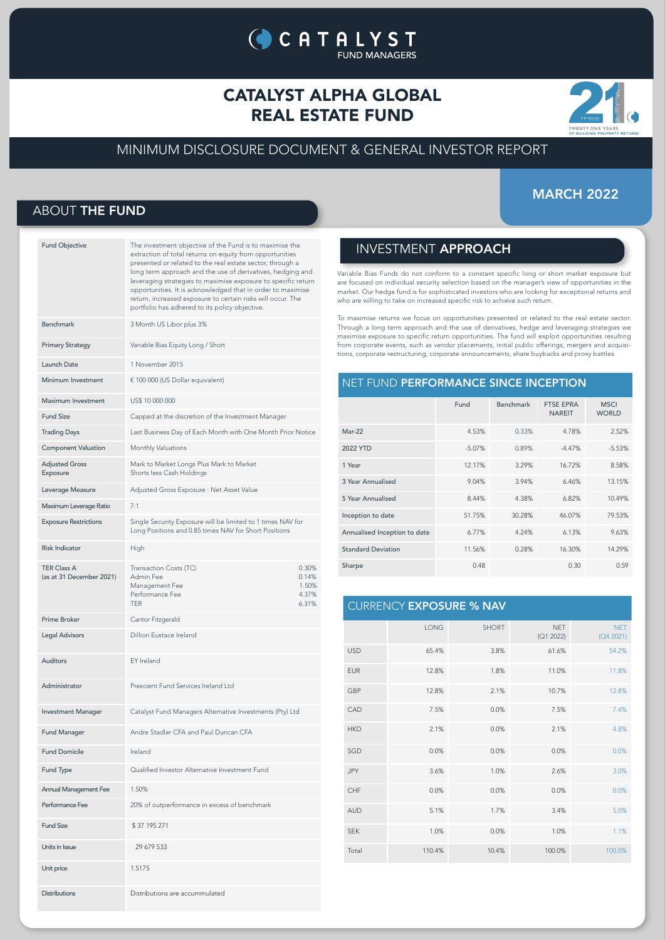# CATALYST ALPHA GLOBAL REAL ESTATE FUND

**CATALYST** 

**FUND MANAGERS** 



## MINIMUM DISCLOSURE DOCUMENT & GENERAL INVESTOR REPORT

## MARCH 2022

## ABOUT THE FUND

| <b>Fund Objective</b>                          | The investment objective of the Fund is to maximise the<br>extraction of total returns on equity from opportunities<br>presented or related to the real estate sector, through a<br>long term approach and the use of derivatives, hedging and<br>leveraging strategies to maximise exposure to specific return<br>opportunities. It is acknowledged that in order to maximise<br>return, increased exposure to certain risks will occur. The<br>portfolio has adhered to its policy objective. |
|------------------------------------------------|-------------------------------------------------------------------------------------------------------------------------------------------------------------------------------------------------------------------------------------------------------------------------------------------------------------------------------------------------------------------------------------------------------------------------------------------------------------------------------------------------|
| <b>Benchmark</b>                               | 3 Month US Libor plus 3%                                                                                                                                                                                                                                                                                                                                                                                                                                                                        |
| <b>Primary Strategy</b>                        | Variable Bias Equity Long / Short                                                                                                                                                                                                                                                                                                                                                                                                                                                               |
| Launch Date                                    | 1 November 2015                                                                                                                                                                                                                                                                                                                                                                                                                                                                                 |
| Minimum Investment                             | € 100 000 (US Dollar equivalent)                                                                                                                                                                                                                                                                                                                                                                                                                                                                |
| Maximum Investment                             | US\$ 10 000 000                                                                                                                                                                                                                                                                                                                                                                                                                                                                                 |
| <b>Fund Size</b>                               | Capped at the discretion of the Investment Manager                                                                                                                                                                                                                                                                                                                                                                                                                                              |
| <b>Trading Days</b>                            | Last Business Day of Each Month with One Month Prior Notice                                                                                                                                                                                                                                                                                                                                                                                                                                     |
| <b>Component Valuation</b>                     | Monthly Valuations                                                                                                                                                                                                                                                                                                                                                                                                                                                                              |
| <b>Adjusted Gross</b><br>Exposure              | Mark to Market Longs Plus Mark to Market<br>Shorts less Cash Holdings                                                                                                                                                                                                                                                                                                                                                                                                                           |
| Leverage Measure                               | Adjusted Gross Exposure : Net Asset Value                                                                                                                                                                                                                                                                                                                                                                                                                                                       |
| Maximum Leverage Ratio                         | 7:1                                                                                                                                                                                                                                                                                                                                                                                                                                                                                             |
| <b>Exposure Restrictions</b>                   | Single Security Exposure will be limited to 1 times NAV for<br>Long Positions and 0.85 times NAV for Short Positions                                                                                                                                                                                                                                                                                                                                                                            |
| <b>Risk Indicator</b>                          | High                                                                                                                                                                                                                                                                                                                                                                                                                                                                                            |
| <b>TER Class A</b><br>(as at 31 December 2021) | Transaction Costs (TC)<br>0.30%<br>Admin Fee<br>0.14%<br>Management Fee<br>1.50%<br>Performance Fee<br>4.37%<br><b>TFR</b><br>6.31%                                                                                                                                                                                                                                                                                                                                                             |
| Prime Broker                                   | Cantor Fitzgerald                                                                                                                                                                                                                                                                                                                                                                                                                                                                               |
| <b>Legal Advisors</b>                          | Dillion Eustace Ireland                                                                                                                                                                                                                                                                                                                                                                                                                                                                         |
| <b>Auditors</b>                                | EY Ireland                                                                                                                                                                                                                                                                                                                                                                                                                                                                                      |
| Administrator                                  | Prescient Fund Services Ireland Ltd                                                                                                                                                                                                                                                                                                                                                                                                                                                             |
| <b>Investment Manager</b>                      | Catalyst Fund Managers Alternative Investments (Pty) Ltd                                                                                                                                                                                                                                                                                                                                                                                                                                        |
| <b>Fund Manager</b>                            | Andre Stadler CFA and Paul Duncan CFA                                                                                                                                                                                                                                                                                                                                                                                                                                                           |
| <b>Fund Domicile</b>                           | Ireland                                                                                                                                                                                                                                                                                                                                                                                                                                                                                         |
| Fund Type                                      | Qualified Investor Alternative Investment Fund                                                                                                                                                                                                                                                                                                                                                                                                                                                  |
| <b>Annual Management Fee</b>                   | 1.50%                                                                                                                                                                                                                                                                                                                                                                                                                                                                                           |
| Performance Fee                                | 20% of outperformance in excess of benchmark                                                                                                                                                                                                                                                                                                                                                                                                                                                    |
| <b>Fund Size</b>                               | \$37 195 271                                                                                                                                                                                                                                                                                                                                                                                                                                                                                    |
| Units in Issue                                 | 29 679 533                                                                                                                                                                                                                                                                                                                                                                                                                                                                                      |
| Unit price                                     | 1.5175                                                                                                                                                                                                                                                                                                                                                                                                                                                                                          |
| Distributions                                  | Distributions are accummulated                                                                                                                                                                                                                                                                                                                                                                                                                                                                  |

## INVESTMENT APPROACH

Variable Bias Funds do not conform to a constant specific long or short market exposure but are focused on individual security selection based on the manager's view of opportunities in the market. Our hedge fund is for sophisticated investors who are looking for exceptional returns and who are willing to take on increased specific risk to achieve such return.

To maximise returns we focus on opportunities presented or related to the real estate sector. Through a long term approach and the use of derivatives, hedge and leveraging strategies we maximise exposure to specific return opportunities. The fund will exploit opportunities resulting from corporate events, such as vendor placements, initial public offerings, mergers and acquisitions, corporate restructuring, corporate announcements, share buybacks and proxy battles.

### NET FUND PERFORMANCE SINCE INCEPTION

|                              | Fund     | Benchmark | <b>FTSE EPRA</b><br><b>NAREIT</b> | <b>MSCI</b><br><b>WORLD</b> |
|------------------------------|----------|-----------|-----------------------------------|-----------------------------|
| $Mar-22$                     | 4.53%    | 0.33%     | 4.78%                             | 2.52%                       |
| 2022 YTD                     | $-5.07%$ | 0.89%     | $-4.47%$                          | $-5.53%$                    |
| 1 Year                       | 12.17%   | 3.29%     | 16.72%                            | 8.58%                       |
| 3 Year Annualised            | 9.04%    | 3.94%     | 6.46%                             | 13.15%                      |
| 5 Year Annualised            | 8.44%    | 4.38%     | 6.82%                             | 10.49%                      |
| Inception to date            | 51.75%   | 30.28%    | 46.07%                            | 79.53%                      |
| Annualised Inception to date | 6.77%    | 4.24%     | 6.13%                             | 9.63%                       |
| <b>Standard Deviation</b>    | 11.56%   | 0.28%     | 16.30%                            | 14.29%                      |
| Sharpe                       | 0.48     |           | 0.30                              | 0.59                        |

## CURRENCY EXPOSURE % NAV

|            | <b>LONG</b> | <b>SHORT</b> | <b>NET</b><br>(Q1 2022) | <b>NET</b><br>(Q4 2021) |
|------------|-------------|--------------|-------------------------|-------------------------|
| <b>USD</b> | 65.4%       | 3.8%         | 61.6%                   | 54.2%                   |
| <b>EUR</b> | 12.8%       | 1.8%         | 11.0%                   | 11.8%                   |
| GBP        | 12.8%       | 2.1%         | 10.7%                   | 12.8%                   |
| CAD        | 7.5%        | 0.0%         | 7.5%                    | 7.4%                    |
| <b>HKD</b> | 2.1%        | 0.0%         | 2.1%                    | 4.8%                    |
| SGD        | 0.0%        | 0.0%         | 0.0%                    | 0.0%                    |
| <b>JPY</b> | 3.6%        | 1.0%         | 2.6%                    | 3.0%                    |
| CHF        | 0.0%        | 0.0%         | 0.0%                    | 0.0%                    |
| <b>AUD</b> | 5.1%        | 1.7%         | 3.4%                    | 5.0%                    |
| <b>SEK</b> | 1.0%        | 0.0%         | 1.0%                    | 1.1%                    |
| Total      | 110.4%      | 10.4%        | 100.0%                  | 100.0%                  |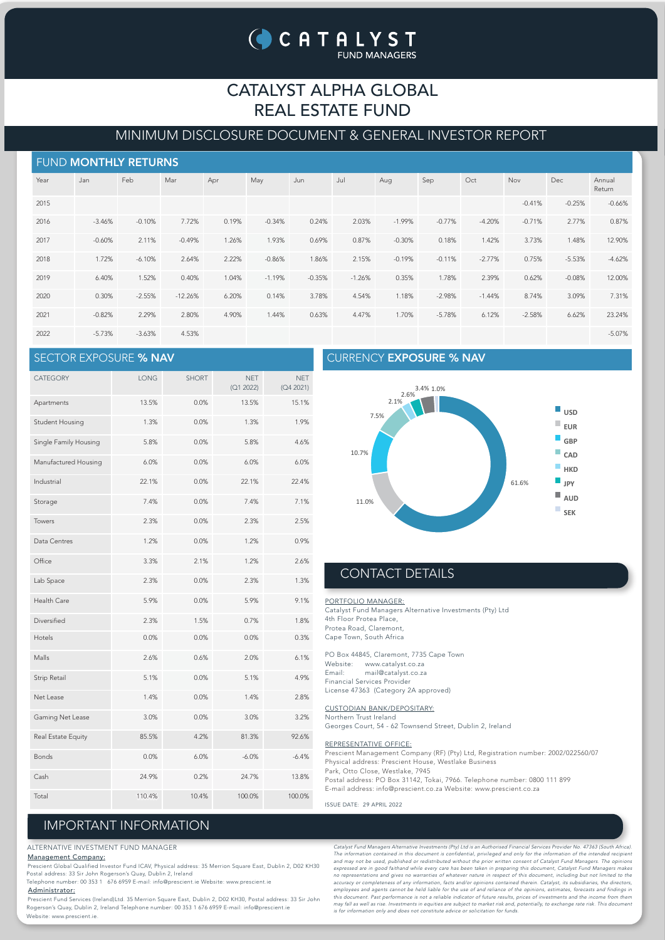# CATALYST ALPHA GLOBAL REAL ESTATE FUND

## MINIMUM DISCLOSURE DOCUMENT & GENERAL INVESTOR REPORT

| FUND MONTHLY RETURNS |          |          |           |       |          |          |          |          |          |          |          |            |                  |
|----------------------|----------|----------|-----------|-------|----------|----------|----------|----------|----------|----------|----------|------------|------------------|
| Year                 | Jan      | Feb      | Mar       | Apr   | May      | Jun      | Jul      | Aug      | Sep      | Oct      | Nov      | <b>Dec</b> | Annual<br>Return |
| 2015                 |          |          |           |       |          |          |          |          |          |          | $-0.41%$ | $-0.25%$   | $-0.66%$         |
| 2016                 | $-3.46%$ | $-0.10%$ | 7.72%     | 0.19% | $-0.34%$ | 0.24%    | 2.03%    | $-1.99%$ | $-0.77%$ | $-4.20%$ | $-0.71%$ | 2.77%      | 0.87%            |
| 2017                 | $-0.60%$ | 2.11%    | $-0.49%$  | 1.26% | 1.93%    | 0.69%    | 0.87%    | $-0.30%$ | 0.18%    | 1.42%    | 3.73%    | 1.48%      | 12.90%           |
| 2018                 | 1.72%    | $-6.10%$ | 2.64%     | 2.22% | $-0.86%$ | 1.86%    | 2.15%    | $-0.19%$ | $-0.11%$ | $-2.77%$ | 0.75%    | $-5.53%$   | $-4.62%$         |
| 2019                 | 6.40%    | 1.52%    | 0.40%     | 1.04% | $-1.19%$ | $-0.35%$ | $-1.26%$ | 0.35%    | 1.78%    | 2.39%    | 0.62%    | $-0.08%$   | 12.00%           |
| 2020                 | 0.30%    | $-2.55%$ | $-12.26%$ | 6.20% | 0.14%    | 3.78%    | 4.54%    | 1.18%    | $-2.98%$ | $-1.44%$ | 8.74%    | 3.09%      | 7.31%            |
| 2021                 | $-0.82%$ | 2.29%    | 2.80%     | 4.90% | 1.44%    | 0.63%    | 4.47%    | 1.70%    | $-5.78%$ | 6.12%    | $-2.58%$ | 6.62%      | 23.24%           |
| 2022                 | $-5.73%$ | $-3.63%$ | 4.53%     |       |          |          |          |          |          |          |          |            | $-5.07%$         |

## SECTOR EXPOSURE % NAV

| <b>CATEGORY</b>       | LONG   | <b>SHORT</b> | <b>NET</b><br>(Q1 2022) | <b>NET</b><br>(Q4 2021) |
|-----------------------|--------|--------------|-------------------------|-------------------------|
| Apartments            | 13.5%  | 0.0%         | 13.5%                   | 15.1%                   |
| Student Housing       | 1.3%   | 0.0%         | 1.3%                    | 1.9%                    |
| Single Family Housing | 5.8%   | 0.0%         | 5.8%                    | 4.6%                    |
| Manufactured Housing  | 6.0%   | 0.0%         | 6.0%                    | 6.0%                    |
| Industrial            | 22.1%  | 0.0%         | 22.1%                   | 22.4%                   |
| Storage               | 7.4%   | 0.0%         | 7.4%                    | 7.1%                    |
| Towers                | 2.3%   | 0.0%         | 2.3%                    | 2.5%                    |
| Data Centres          | 1.2%   | 0.0%         | 1.2%                    | 0.9%                    |
| Office                | 3.3%   | 2.1%         | 1.2%                    | 2.6%                    |
| Lab Space             | 2.3%   | 0.0%         | 2.3%                    | 1.3%                    |
| Health Care           | 5.9%   | 0.0%         | 5.9%                    | 9.1%                    |
| Diversified           | 2.3%   | 1.5%         | 0.7%                    | 1.8%                    |
| Hotels                | 0.0%   | 0.0%         | 0.0%                    | 0.3%                    |
| Malls                 | 2.6%   | 0.6%         | 2.0%                    | 6.1%                    |
| <b>Strip Retail</b>   | 5.1%   | 0.0%         | 5.1%                    | 4.9%                    |
| Net Lease             | 1.4%   | 0.0%         | 1.4%                    | 2.8%                    |
| Gaming Net Lease      | 3.0%   | 0.0%         | 3.0%                    | 3.2%                    |
| Real Estate Equity    | 85.5%  | 4.2%         | 81.3%                   | 92.6%                   |
| <b>Bonds</b>          | 0.0%   | 6.0%         | $-6.0%$                 | $-6.4%$                 |
| Cash                  | 24.9%  | 0.2%         | 24.7%                   | 13.8%                   |
| Total                 | 110.4% | 10.4%        | 100.0%                  | 100.0%                  |

### CURRENCY EXPOSURE % NAV



## CONTACT DETAILS

PORTFOLIO MANAGER: Catalyst Fund Managers Alternative Investments (Pty) Ltd 4th Floor Protea Place, Protea Road, Claremont, Cape Town, South Africa

PO Box 44845, Claremont, 7735 Cape Town Website: www.catalyst.co.za<br>Email: mail@catalyst.co.za mail@catalyst.co.za Financial Services Provider License 47363 (Category 2A approved)

### CUSTODIAN BANK/DEPOSITARY:

Northern Trust Ireland Georges Court, 54 - 62 Townsend Street, Dublin 2, Ireland

#### REPRESENTATIVE OFFICE:

Prescient Management Company (RF) (Pty) Ltd, Registration number: 2002/022560/07 Physical address: Prescient House, Westlake Business Park, Otto Close, Westlake, 7945

- Postal address: PO Box 31142, Tokai, 7966. Telephone number: 0800 111 899
- E-mail address: info@prescient.co.za Website: www.prescient.co.za

ISSUE DATE: 29 APRIL 2022

# IMPORTANT INFORMATION

#### ALTERNATIVE INVESTMENT FUND MANAGER

### Management Company:

 Prescient Global Qualified Investor Fund ICAV, Physical address: 35 Merrion Square East, Dublin 2, D02 KH30 Postal address: 33 Sir John Rogerson's Quay, Dublin 2, Ireland Telephone number: 00 353 1 676 6959 E-mail: info@prescient.ie Website: www.prescient.ie

Administrator:

 Prescient Fund Services (Ireland)Ltd. 35 Merrion Square East, Dublin 2, D02 KH30, Postal address: 33 Sir John Rogerson's Quay, Dublin 2, Ireland Telephone number: 00 353 1 676 6959 E-mail: info@prescient.ie Website: www.prescient.ie

Catalyst Fund Managers Alternative Investments (Pty) Ltd is an Authorised Financial Services Provider No. 47363 (South Africa). The information contained in this document is confidential, privileged and only for the information of the intended recipient<br>and may not be used, published or redistributed without the prior written consent of Catalyst Fu accuracy or completeness of any information, facts and/or opinions contained therein. Catalyst, its subsidiaries, the directors,<br>employees and agents cannot be held liable for the use of and reliance of the opinions, estim may fall as well as rise. Investments in equities are subject to market risk and, potentially, to exchange rate risk. This document<br>is for information only and does not constitute advice or solicitation for funds.